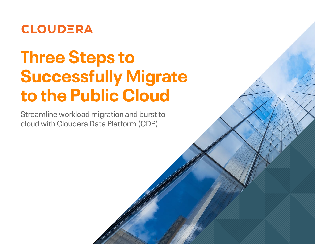

# **Three Steps to Successfully Migrate to the Public Cloud**

Streamline workload migration and burst to cloud with Cloudera Data Platform (CDP)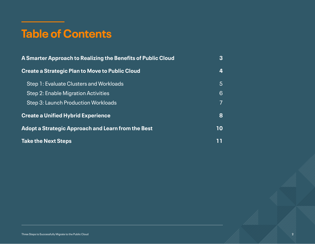## **Table of Contents**

| A Smarter Approach to Realizing the Benefits of Public Cloud | 3              |
|--------------------------------------------------------------|----------------|
| <b>Create a Strategic Plan to Move to Public Cloud</b>       | 4              |
| Step 1: Evaluate Clusters and Workloads                      | $\overline{5}$ |
| Step 2: Enable Migration Activities                          | 6              |
| Step 3: Launch Production Workloads                          | 7              |
| <b>Create a Unified Hybrid Experience</b>                    | 8              |
| <b>Adopt a Strategic Approach and Learn from the Best</b>    | 10             |
| <b>Take the Next Steps</b>                                   |                |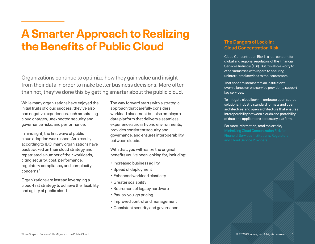### <span id="page-2-0"></span>**A Smarter Approach to Realizing the Benefits of Public Cloud**

Organizations continue to optimize how they gain value and insight from their data in order to make better business decisions. More often than not, they've done this by getting smarter about the public cloud.

While many organizations have enjoyed the initial fruits of cloud success, they've also had negative experiences such as spiraling cloud charges, unexpected security and governance risks, and performance.

In hindsight, the first wave of public cloud adoption was rushed. As a result, according to IDC, many organizations have backtracked on their cloud strategy and repatriated a number of their workloads, citing security, cost, performance, regulatory compliance, and complexity concerns<sup>1</sup>

Organizations are instead leveraging a cloud-first strategy to achieve the flexibility and agility of public cloud.

The way forward starts with a strategic approach that carefully considers workload placement but also employs a data platform that delivers a seamless experience across hybrid environments, provides consistent security and governance, and ensures interoperability between clouds.

With that, you will realize the original benefits you've been looking for, including:

- Increased business agility
- Speed of deployment
- Enhanced workload elasticity
- Greater scalability
- Retirement of legacy hardware
- Pay-as-you-go pricing
- Improved control and management
- Consistent security and governance

### **The Dangers of Lock-in: Cloud Concentration Risk**

Cloud Concentration Risk is a real concern for global and regional regulators of the Financial Services Industry (FSI). But it is also a worry to other industries with regard to ensuring uninterrupted services to their customers.

That concern stems from an institution's over-reliance on one service provider to support key services.

To mitigate cloud lock-in, embrace open source solutions, industry standard formats and open architecture and open architecture that ensures interoperability between clouds and portability of data and applications across any platform.

#### For more information, read the article,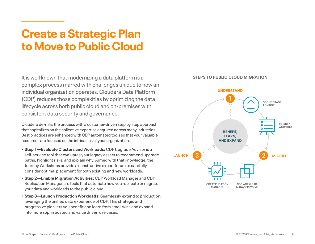### <span id="page-3-0"></span>**Create a Strategic Plan to Move to Public Cloud**

It is well known that modernizing a data platform is a complex process marred with challenges unique to how an individual organization operates. Cloudera Data Platform (CDP) reduces those complexities by optimizing the data lifecycle across both public cloud and on-premises with consistent data security and governance.

Cloudera de-risks the process with a customer-driven step by step approach that capitalizes on the collective expertise acquired across many industries. Best practices are enhanced with CDP automated tools so that your valuable resources are focused on the intricacies of your organization.

- **Step 1—Evaluate Clusters and Workloads:** CDP Upgrade Advisor is a self-service tool that evaluates your legacy assets to recommend upgrade paths, highlight risks, and explain why. Armed with that knowledge, the Journey Workshops provide a constructive expert forum to carefully consider optimal placement for both existing and new workloads.
- **Step 2—Enable Migration Activities:** CDP Workload Manager and CDP Replication Manager are tools that automate how you replicate or migrate your data and workloads to the public cloud.
- **Step 3—Launch Production Workloads:** Seamlessly extend to production, leveraging the unified data experience of CDP. This strategic and progressive plan lets you benefit and learn from small wins and expand into more sophisticated and value driven use cases.

#### **STEPS TO PUBLIC CLOUD MIGRATION**

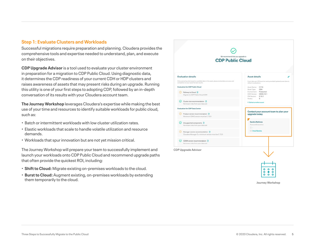#### <span id="page-4-0"></span>**Step 1: Evaluate Clusters and Workloads**

Successful migrations require preparation and planning. Cloudera provides the comprehensive tools and expertise needed to understand, plan, and execute on their objectives.

**CDP Upgrade Advisor** is a tool used to evaluate your cluster environment in preparation for a migration to CDP Public Cloud. Using diagnostic data, it determines the CDP readiness of your current CDH or HDP clusters and raises awareness of assets that may present risks during an upgrade. Running this utility is one of your first steps to adopting CDP, followed by an in-depth conversation of its results with your Cloudera account team.

**The Journey Workshop** leverages Cloudera's expertise while making the best use of your time and resources to identify suitable workloads for public cloud, such as:

- Batch or intermittent workloads with low cluster utilization rates.
- Elastic workloads that scale to handle volatile utilization and resource demands.
- Workloads that spur innovation but are not yet mission critical.

The Journey Workshop will prepare your team to successfully implement and launch your workloads onto CDP Public Cloud and recommend upgrade paths that often provide the quickest ROI, including:

- **Shift to Cloud:** Migrate existing on-premises workloads to the cloud.
- **Burst to Cloud:** Augment existing, on-premises workloads by extending them temporarily to the cloud.





**Journey Workshop**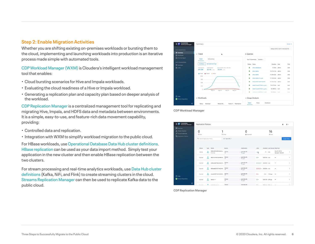#### <span id="page-5-0"></span>**Step 2: Enable Migration Activities**

Whether you are shifting existing on-premises workloads or bursting them to the cloud, implementing and launching workloads into production is an iterative process made simple with automated tools.

[CDP Workload Manager \(WXM\)](https://docs.cloudera.com/workload-manager/cloud/index.html) is Cloudera's intelligent workload management tool that enables:

- Cloud bursting scenarios for Hive and Impala workloads.
- Evaluating the cloud readiness of a Hive or Impala workload.
- Generating a replication plan and capacity plan based on deeper analysis of the workload.

[CDP Replication Manager](https://docs.cloudera.com/replication-manager/cloud/index.html) is a centralized management tool for replicating and migrating Hive, Impala, and HDFS data and metadata between environments. It is a simple, easy-to-use, and feature-rich data movement capability, providing:

- Controlled data and replication.
- Integration with WXM to simplify workload migration to the public cloud.

For HBase workloads, use [Operational Database Data Hub cluster definitions.](https://docs.cloudera.com/data-hub/cloud/cluster-templates/topics/dh-operational-database-clusters.html) [HBase replication](https://docs.cloudera.com/runtime/7.0.3/hbase-backup-dr/topics/hbase-replication.html) can be used as your data import method. Simply test your application in the new cluster and then enable HBase replication between the two clusters.

For stream processing and real-time analytics workloads, use [Data Hub cluster](https://docs.cloudera.com/cdf-datahub/latest/index.html)  [definitions](https://docs.cloudera.com/cdf-datahub/latest/index.html) (Kafka, NiFi, and Flink) to create streaming clusters in the cloud. [Streams Replication Manager](https://docs.cloudera.com/srm/1.0.0/index.html) can then be used to replicate Kafka data to the public cloud.



**CDP Workload Manager**



**CDP Replication Manager**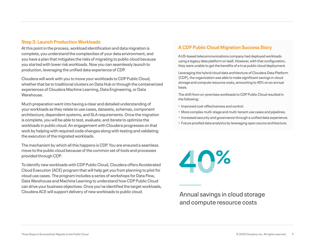### <span id="page-6-0"></span>**Step 3: Launch Production Workloads**

At this point in the process, workload identification and data migration is complete, you understand the complexities of your data environment, and you have a plan that mitigates the risks of migrating to public cloud because you started with lower risk workloads. Now you can seamlessly launch to production, leveraging the unified data experience of CDP.

Cloudera will work with you to move your workloads to CDP Public Cloud, whether that be to traditional clusters on Data Hub or through the containerized experiences of Cloudera Machine Learning, Data Engineering, or Data Warehouse.

Much preparation went into having a clear and detailed understanding of your workloads as they relate to use cases, datasets, schemas, component architecture, dependent systems, and SLA requirements. Once the migration is complete, you will be able to test, evaluate, and iterate to optimize the workloads in public cloud. An engagement with Cloudera progresses on that work by helping with required code changes along with testing and validating the execution of the migrated workloads.

The mechanism by which all this happens is CDP. You are ensured a seamless move to the public cloud because of the common set of tools and processes provided through CDP.

To identify new workloads with CDP Public Cloud, Cloudera offers Accelerated Cloud Execution (ACE) program that will help get you from planning to pilot for cloud use cases. The program includes a series of workshops for Data Flow, Data Warehouse and Machine Learning to understand how CDP Public Cloud can drive your business objectives. Once you've identified the target workloads, Cloudera ACE will support delivery of new workloads to public cloud.

### **A CDP Public Cloud Migration Success Story**

A US-based telecommunications company had deployed workloads using a legacy data platform on IaaS. However, with that configuration, they were unable to get the benefits of a true public cloud deployment.

Leveraging the hybrid cloud data architecture of Cloudera Data Platform (CDP), the organization was able to make significant savings in cloud storage and compute resource costs, amounting to 40% on an annual basis.

The shift from on-premises workloads to CDP Public Cloud resulted in the following:

- Improved cost-effectiveness and control.
- More complex multi-stage and multi-tenant use cases and pipelines.
- Increased security and governance through a unified data experience.
- Future proofed data analytics by leveraging open source architecture.



Annual savings in cloud storage and compute resource costs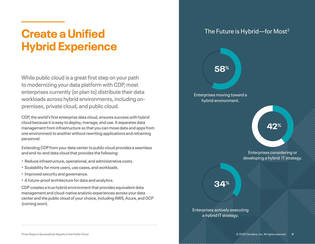### <span id="page-7-0"></span>**Create a Unified Hybrid Experience**

While public cloud is a great first step on your path to modernizing your data platform with CDP, most enterprises currently (or plan to) distribute their data workloads across hybrid environments, including onpremises, private cloud, and public cloud.

CDP, the world's first enterprise data cloud, ensures success with hybrid cloud because it is easy to deploy, manage, and use. It separates data management from infrastructure so that you can move data and apps from one environment to another without rewriting applications and retraining personnel.

Extending CDP from your data center to public cloud provides a seamless and end-to-end data cloud that provides the following:

- Reduce infrastructure, operational, and administrative costs.
- Scalability for more users, use cases, and workloads.
- Improved security and governance.
- A future-proof architecture for data and analytics.

CDP creates a true hybrid environment that provides equivalent data management and cloud-native analytic experiences across your data center and the public cloud of your choice, including AWS, Azure, and GCP (coming soon).

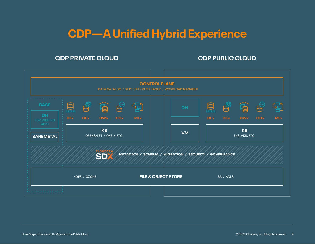### **CDP—A Unified Hybrid Experience**

### **CDP PRIVATE CLOUD CDP PUBLIC CLOUD**

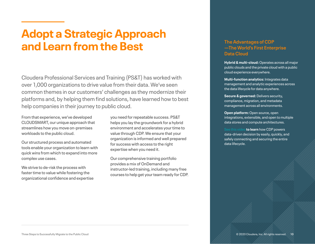### <span id="page-9-0"></span>**Adopt a Strategic Approach and Learn from the Best**

Cloudera Professional Services and Training (PS&T) has worked with over 1,000 organizations to drive value from their data. We've seen common themes in our customers' challenges as they modernize their platforms and, by helping them find solutions, have learned how to best help companies in their journey to public cloud.

From that experience, we've developed CLOUDSMART, our unique approach that streamlines how you move on-premises workloads to the public cloud.

Our structured process and automated tools enable your organization to learn with quick wins from which to expand into more complex use cases.

We strive to de-risk the process with faster time to value while fostering the organizational confidence and expertise you need for repeatable success. PS&T helps you lay the groundwork for a hybrid environment and accelerates your time to value through CDP. We ensure that your organization is informed and well prepared for success with access to the right expertise when you need it.

Our comprehensive training portfolio provides a mix of OnDemand and instructor-led training, including many free courses to help get your team ready for CDP.

### **The Advantages of CDP —The World's First Enterprise Data Cloud**

**Hybrid & multi-cloud:** Operates across all major public clouds and the private cloud with a public cloud experience everywhere.

**Multi-function analytics:** Integrates data management and analytic experiences across the data lifecycle for data anywhere.

**Secure & governed:** Delivers security, compliance, migration, and metadata management across all environments.

**Open platform:** Open source, open integrations, extensible, and open to multiple data stores and compute architectures.

[See this video](https://www.cloudera.com/products/discover-cloudera-data-platform.html#?internal_keyplay=CDP&internal_campaign=VideoTour&cid=VT&internal_link=h01-A-Watchnow) **to learn** how CDP powers data-driven decision by easily, quickly, and safely connecting and securing the entire data lifecycle.